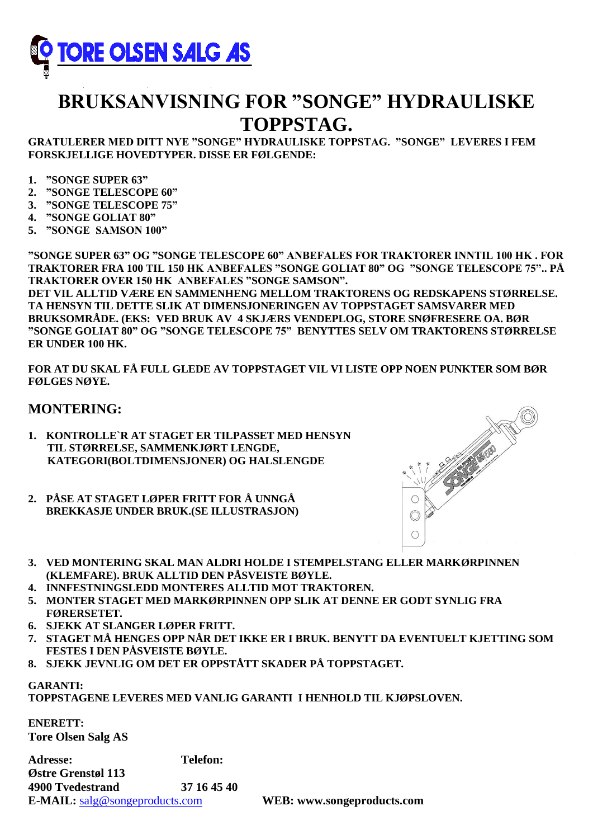

## **BRUKSANVISNING FOR "SONGE" HYDRAULISKE TOPPSTAG.**

**GRATULERER MED DITT NYE "SONGE" HYDRAULISKE TOPPSTAG. "SONGE" LEVERES I FEM FORSKJELLIGE HOVEDTYPER. DISSE ER FØLGENDE:**

- **1. "SONGE SUPER 63"**
- **2. "SONGE TELESCOPE 60"**
- **3. "SONGE TELESCOPE 75"**
- **4. "SONGE GOLIAT 80"**
- **5. "SONGE SAMSON 100"**

**"SONGE SUPER 63" OG "SONGE TELESCOPE 60" ANBEFALES FOR TRAKTORER INNTIL 100 HK . FOR TRAKTORER FRA 100 TIL 150 HK ANBEFALES "SONGE GOLIAT 80" OG "SONGE TELESCOPE 75".. PÅ TRAKTORER OVER 150 HK ANBEFALES "SONGE SAMSON".**

**DET VIL ALLTID VÆRE EN SAMMENHENG MELLOM TRAKTORENS OG REDSKAPENS STØRRELSE. TA HENSYN TIL DETTE SLIK AT DIMENSJONERINGEN AV TOPPSTAGET SAMSVARER MED BRUKSOMRÅDE. (EKS: VED BRUK AV 4 SKJÆRS VENDEPLOG, STORE SNØFRESERE OA. BØR "SONGE GOLIAT 80" OG "SONGE TELESCOPE 75" BENYTTES SELV OM TRAKTORENS STØRRELSE ER UNDER 100 HK.**

**FOR AT DU SKAL FÅ FULL GLEDE AV TOPPSTAGET VIL VI LISTE OPP NOEN PUNKTER SOM BØR FØLGES NØYE.**

## **MONTERING:**

- **1. KONTROLLE`R AT STAGET ER TILPASSET MED HENSYN TIL STØRRELSE, SAMMENKJØRT LENGDE, KATEGORI(BOLTDIMENSJONER) OG HALSLENGDE**
- **2. PÅSE AT STAGET LØPER FRITT FOR Å UNNGÅ BREKKASJE UNDER BRUK.(SE ILLUSTRASJON)**



- **3. VED MONTERING SKAL MAN ALDRI HOLDE I STEMPELSTANG ELLER MARKØRPINNEN (KLEMFARE). BRUK ALLTID DEN PÅSVEISTE BØYLE.**
- **4. INNFESTNINGSLEDD MONTERES ALLTID MOT TRAKTOREN.**
- **5. MONTER STAGET MED MARKØRPINNEN OPP SLIK AT DENNE ER GODT SYNLIG FRA FØRERSETET.**
- **6. SJEKK AT SLANGER LØPER FRITT.**
- **7. STAGET MÅ HENGES OPP NÅR DET IKKE ER I BRUK. BENYTT DA EVENTUELT KJETTING SOM FESTES I DEN PÅSVEISTE BØYLE.**
- **8. SJEKK JEVNLIG OM DET ER OPPSTÅTT SKADER PÅ TOPPSTAGET.**

## **GARANTI: TOPPSTAGENE LEVERES MED VANLIG GARANTI I HENHOLD TIL KJØPSLOVEN.**

**ENERETT: Tore Olsen Salg AS**

**Adresse: Telefon: Østre Grenstøl 113 4900 Tvedestrand 37 16 45 40 E-MAIL:** [salg@songeproducts.com](mailto:salg@songeproducts.com) **WEB: www.songeproducts.com**